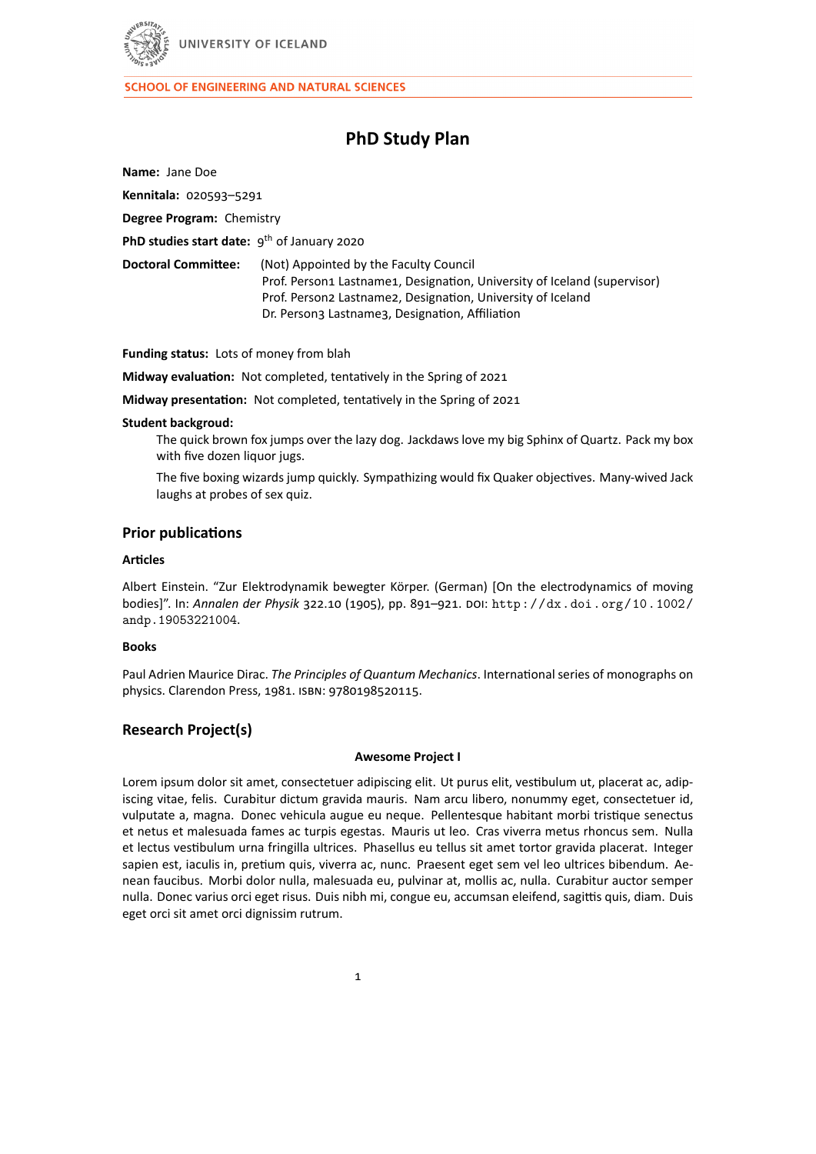

# **PhD Study Plan**

**Name:** Jane Doe

**Kennitala:** 020593–5291

**Degree Program:** Chemistry

PhD studies start date: 9<sup>th</sup> of January 2020

| <b>Doctoral Committee:</b> | (Not) Appointed by the Faculty Council                                   |
|----------------------------|--------------------------------------------------------------------------|
|                            | Prof. Person1 Lastname1, Designation, University of Iceland (supervisor) |
|                            | Prof. Person2 Lastname2, Designation, University of Iceland              |
|                            | Dr. Person3 Lastname3, Designation, Affiliation                          |

**Funding status:** Lots of money from blah

**Midway evaluation:** Not completed, tentatively in the Spring of 2021

**Midway presentation:** Not completed, tentatively in the Spring of 2021

## **Student backgroud:**

The quick brown fox jumps over the lazy dog. Jackdaws love my big Sphinx of Quartz. Pack my box with five dozen liquor jugs.

The five boxing wizards jump quickly. Sympathizing would fix Quaker objectives. Many‐wived Jack laughs at probes of sex quiz.

## **Prior publications**

## **Articles**

Albert Einstein. "Zur Elektrodynamik bewegter Körper. (German) [On the electrodynamics of moving bodies]". In: *Annalen der Physik* 322.10 (1905), pp. 891–921. DOI: http://dx.doi.org/10.1002/ andp.19053221004.

## **Books**

Paul Adrien Maurice Dirac. *The Principles of Quantum Mechanics*. International series of monographs on physics. Clarendon Press, 1981. ISBN: 9780198520115.

# **Research Project(s)**

## **Awesome Project I**

Lorem ipsum dolor sit amet, consectetuer adipiscing elit. Ut purus elit, vestibulum ut, placerat ac, adip‐ iscing vitae, felis. Curabitur dictum gravida mauris. Nam arcu libero, nonummy eget, consectetuer id, vulputate a, magna. Donec vehicula augue eu neque. Pellentesque habitant morbi tristique senectus et netus et malesuada fames ac turpis egestas. Mauris ut leo. Cras viverra metus rhoncus sem. Nulla et lectus vestibulum urna fringilla ultrices. Phasellus eu tellus sit amet tortor gravida placerat. Integer sapien est, iaculis in, pretium quis, viverra ac, nunc. Praesent eget sem vel leo ultrices bibendum. Aenean faucibus. Morbi dolor nulla, malesuada eu, pulvinar at, mollis ac, nulla. Curabitur auctor semper nulla. Donec varius orci eget risus. Duis nibh mi, congue eu, accumsan eleifend, sagittis quis, diam. Duis eget orci sit amet orci dignissim rutrum.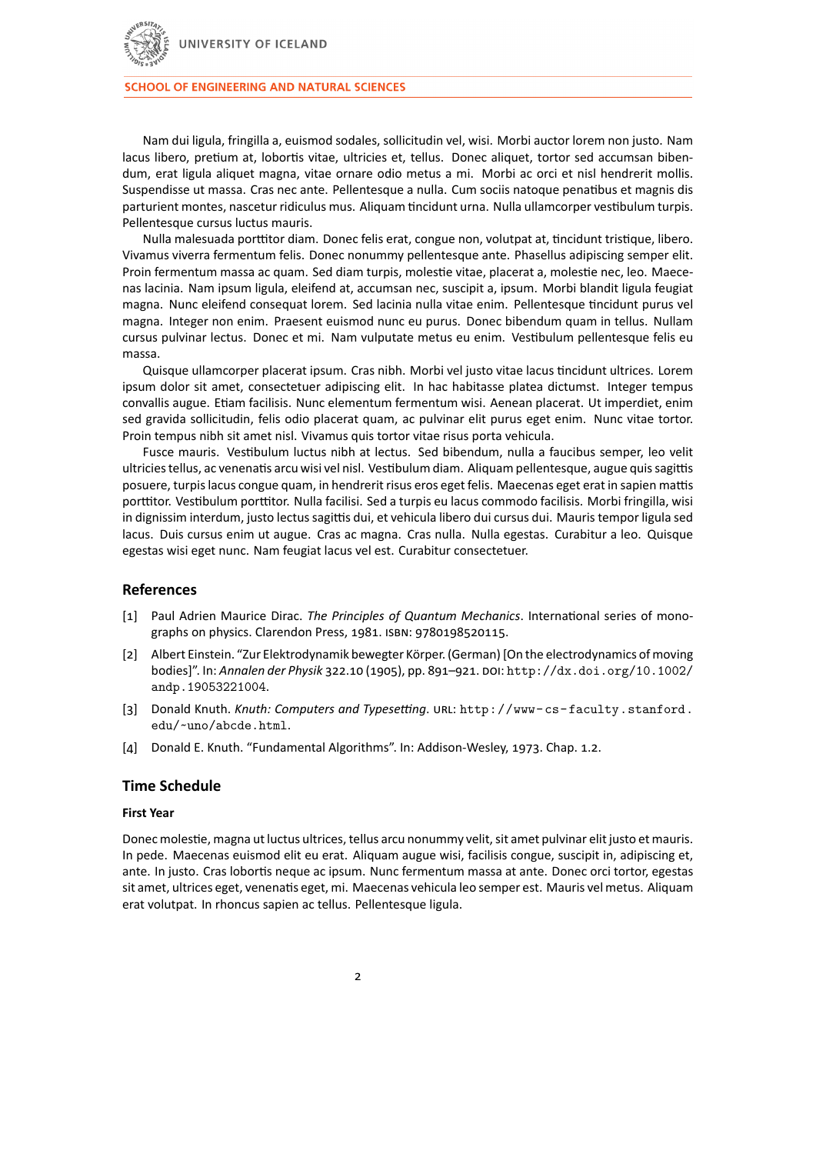

Nam dui ligula, fringilla a, euismod sodales, sollicitudin vel, wisi. Morbi auctor lorem non justo. Nam lacus libero, pretium at, lobortis vitae, ultricies et, tellus. Donec aliquet, tortor sed accumsan biben‐ dum, erat ligula aliquet magna, vitae ornare odio metus a mi. Morbi ac orci et nisl hendrerit mollis. Suspendisse ut massa. Cras nec ante. Pellentesque a nulla. Cum sociis natoque penatibus et magnis dis parturient montes, nascetur ridiculus mus. Aliquam tincidunt urna. Nulla ullamcorper vestibulum turpis. Pellentesque cursus luctus mauris.

Nulla malesuada porttitor diam. Donec felis erat, congue non, volutpat at, tincidunt tristique, libero. Vivamus viverra fermentum felis. Donec nonummy pellentesque ante. Phasellus adipiscing semper elit. Proin fermentum massa ac quam. Sed diam turpis, molestie vitae, placerat a, molestie nec, leo. Maece‐ nas lacinia. Nam ipsum ligula, eleifend at, accumsan nec, suscipit a, ipsum. Morbi blandit ligula feugiat magna. Nunc eleifend consequat lorem. Sed lacinia nulla vitae enim. Pellentesque tincidunt purus vel magna. Integer non enim. Praesent euismod nunc eu purus. Donec bibendum quam in tellus. Nullam cursus pulvinar lectus. Donec et mi. Nam vulputate metus eu enim. Vestibulum pellentesque felis eu massa.

Quisque ullamcorper placerat ipsum. Cras nibh. Morbi vel justo vitae lacus tincidunt ultrices. Lorem ipsum dolor sit amet, consectetuer adipiscing elit. In hac habitasse platea dictumst. Integer tempus convallis augue. Etiam facilisis. Nunc elementum fermentum wisi. Aenean placerat. Ut imperdiet, enim sed gravida sollicitudin, felis odio placerat quam, ac pulvinar elit purus eget enim. Nunc vitae tortor. Proin tempus nibh sit amet nisl. Vivamus quis tortor vitae risus porta vehicula.

Fusce mauris. Vestibulum luctus nibh at lectus. Sed bibendum, nulla a faucibus semper, leo velit ultricies tellus, ac venenatis arcu wisi vel nisl. Vestibulum diam. Aliquam pellentesque, augue quis sagittis posuere, turpis lacus congue quam, in hendrerit risus eros eget felis. Maecenas eget erat in sapien mattis porttitor. Vestibulum porttitor. Nulla facilisi. Sed a turpis eu lacus commodo facilisis. Morbi fringilla, wisi in dignissim interdum, justo lectus sagittis dui, et vehicula libero dui cursus dui. Mauris tempor ligula sed lacus. Duis cursus enim ut augue. Cras ac magna. Cras nulla. Nulla egestas. Curabitur a leo. Quisque egestas wisi eget nunc. Nam feugiat lacus vel est. Curabitur consectetuer.

## **References**

- [1] Paul Adrien Maurice Dirac. *The Principles of Quantum Mechanics*. International series of mono‐ graphs on physics. Clarendon Press, 1981. ISBN: 9780198520115.
- [2] Albert Einstein. "Zur Elektrodynamik bewegter Körper. (German) [On the electrodynamics of moving bodies]". In: *Annalen der Physik* 322.10 (1905), pp. 891–921. DOI: http://dx.doi.org/10.1002/ andp.19053221004.
- [3] Donald Knuth. *Knuth: Computers and Typesetting*. URL: http://www-cs-faculty.stanford. edu/~uno/abcde.html.
- [4] Donald E. Knuth. "Fundamental Algorithms". In: Addison‐Wesley, 1973. Chap. 1.2.

## **Time Schedule**

#### **First Year**

Donec molestie, magna ut luctus ultrices, tellus arcu nonummy velit, sit amet pulvinar elit justo et mauris. In pede. Maecenas euismod elit eu erat. Aliquam augue wisi, facilisis congue, suscipit in, adipiscing et, ante. In justo. Cras lobortis neque ac ipsum. Nunc fermentum massa at ante. Donec orci tortor, egestas sit amet, ultrices eget, venenatis eget, mi. Maecenas vehicula leo semper est. Mauris vel metus. Aliquam erat volutpat. In rhoncus sapien ac tellus. Pellentesque ligula.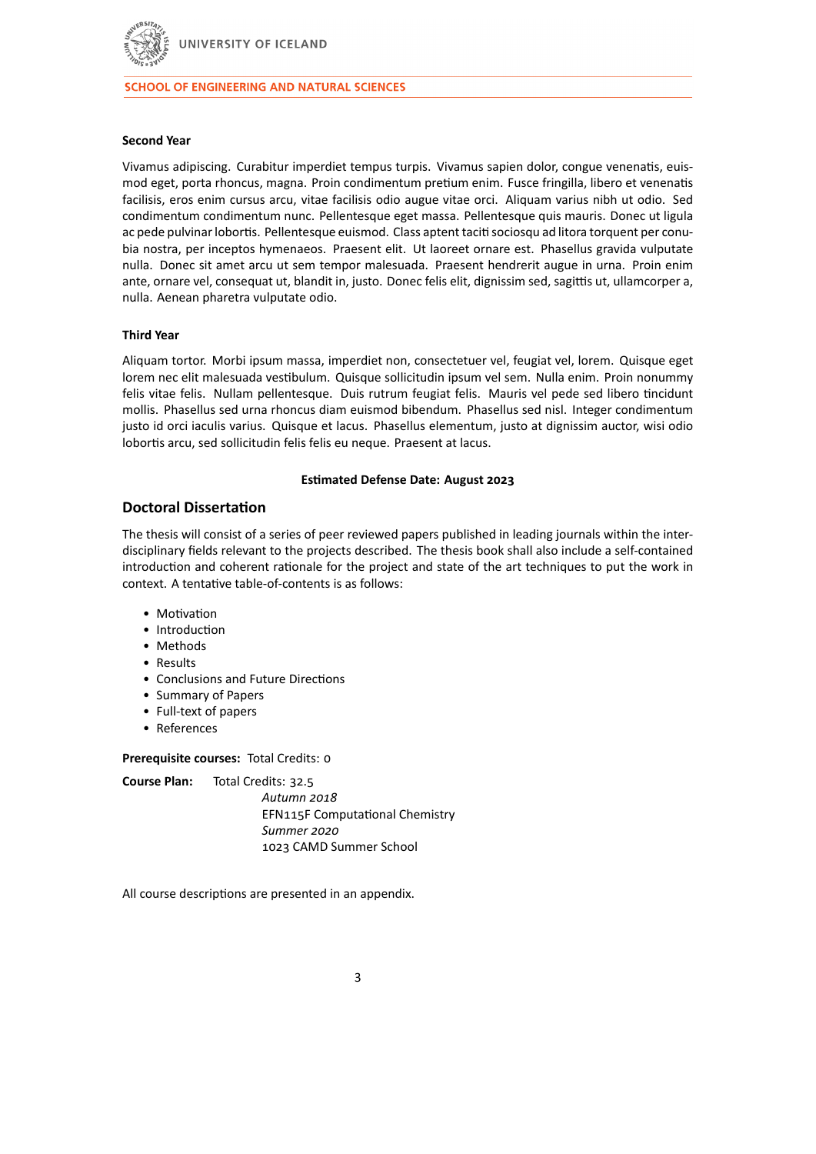

## **Second Year**

Vivamus adipiscing. Curabitur imperdiet tempus turpis. Vivamus sapien dolor, congue venenatis, euis‐ mod eget, porta rhoncus, magna. Proin condimentum pretium enim. Fusce fringilla, libero et venenatis facilisis, eros enim cursus arcu, vitae facilisis odio augue vitae orci. Aliquam varius nibh ut odio. Sed condimentum condimentum nunc. Pellentesque eget massa. Pellentesque quis mauris. Donec ut ligula ac pede pulvinar lobortis. Pellentesque euismod. Class aptent taciti sociosqu ad litora torquent per conubia nostra, per inceptos hymenaeos. Praesent elit. Ut laoreet ornare est. Phasellus gravida vulputate nulla. Donec sit amet arcu ut sem tempor malesuada. Praesent hendrerit augue in urna. Proin enim ante, ornare vel, consequat ut, blandit in, justo. Donec felis elit, dignissim sed, sagittis ut, ullamcorper a, nulla. Aenean pharetra vulputate odio.

## **Third Year**

Aliquam tortor. Morbi ipsum massa, imperdiet non, consectetuer vel, feugiat vel, lorem. Quisque eget lorem nec elit malesuada vestibulum. Quisque sollicitudin ipsum vel sem. Nulla enim. Proin nonummy felis vitae felis. Nullam pellentesque. Duis rutrum feugiat felis. Mauris vel pede sed libero tincidunt mollis. Phasellus sed urna rhoncus diam euismod bibendum. Phasellus sed nisl. Integer condimentum justo id orci iaculis varius. Quisque et lacus. Phasellus elementum, justo at dignissim auctor, wisi odio lobortis arcu, sed sollicitudin felis felis eu neque. Praesent at lacus.

## **Estimated Defense Date: August 2023**

# **Doctoral Dissertation**

The thesis will consist of a series of peer reviewed papers published in leading journals within the inter‐ disciplinary fields relevant to the projects described. The thesis book shall also include a self‐contained introduction and coherent rationale for the project and state of the art techniques to put the work in context. A tentative table‐of‐contents is as follows:

- Motivation
- Introduction
- Methods
- Results
- Conclusions and Future Directions
- Summary of Papers
- Full‐text of papers
- References

**Prerequisite courses:** Total Credits: 0

**Course Plan:** Total Credits: 32.5 *Autumn 2018* EFN115F Computational Chemistry *Summer 2020* 1023 CAMD Summer School

All course descriptions are presented in an appendix.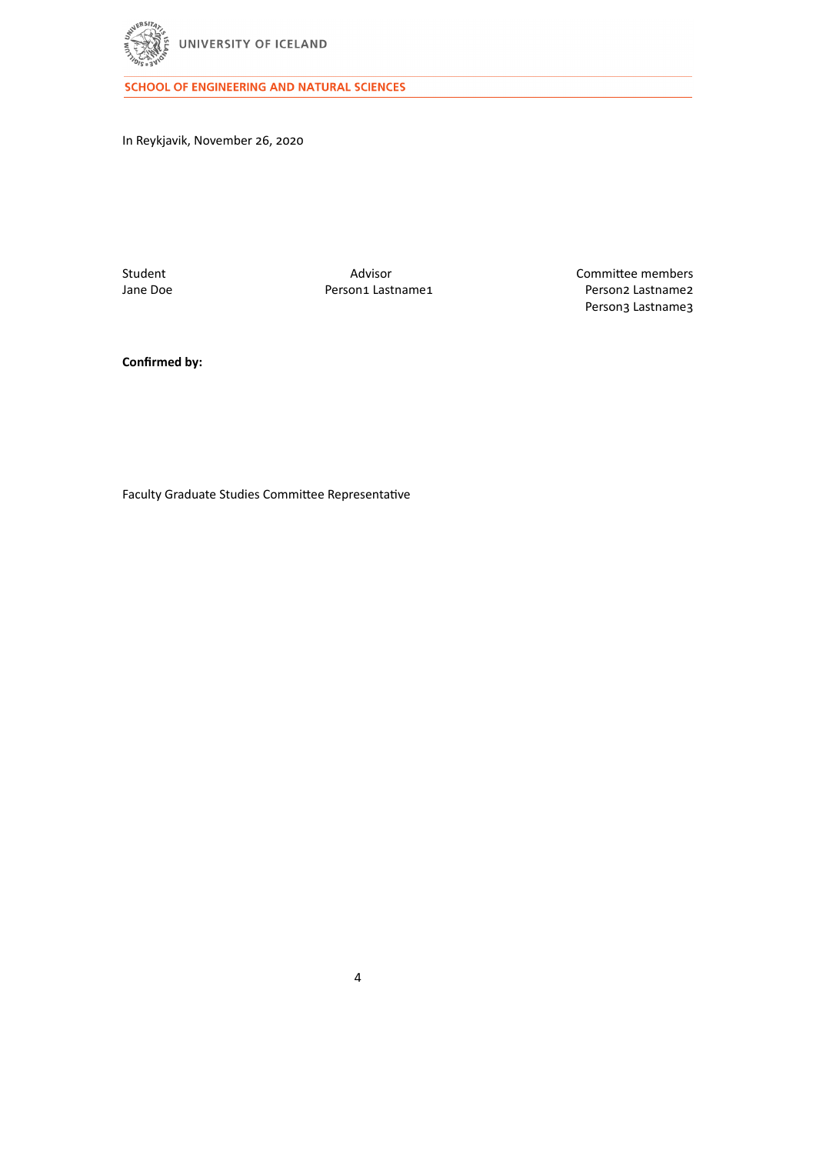

In Reykjavik, November 26, 2020

Student Machine Advisor Advisor Advisor Committee members Jane Doe Person 2 Lastname 2 Person1 Lastname1 Person2 Lastname2 Person3 Lastname3

**Confirmed by:**

Faculty Graduate Studies Committee Representative